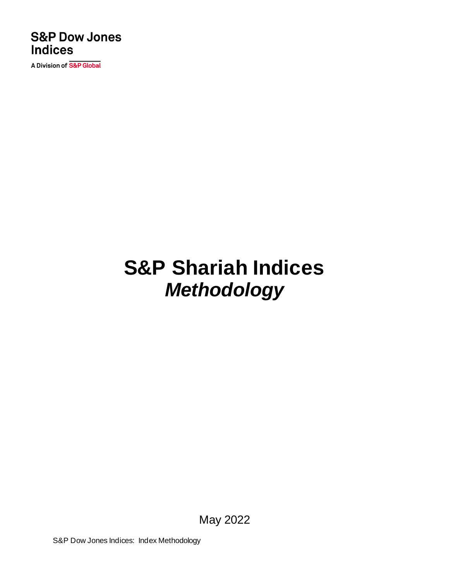## **S&P Dow Jones Indices**

A Division of S&P Global

# **S&P Shariah Indices** *Methodology*

May 2022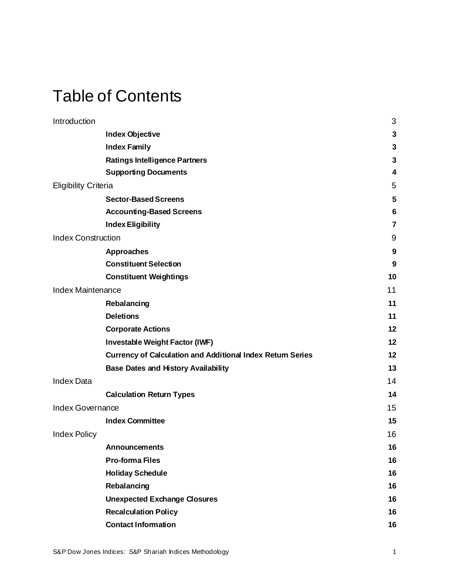## Table of Contents

| Introduction                |                                                                   | 3                       |
|-----------------------------|-------------------------------------------------------------------|-------------------------|
|                             | <b>Index Objective</b>                                            | 3                       |
|                             | <b>Index Family</b>                                               | 3                       |
|                             | <b>Ratings Intelligence Partners</b>                              | 3                       |
|                             | <b>Supporting Documents</b>                                       | $\overline{\mathbf{4}}$ |
| <b>Eligibility Criteria</b> |                                                                   | 5                       |
|                             | <b>Sector-Based Screens</b>                                       | 5                       |
|                             | <b>Accounting-Based Screens</b>                                   | $6\phantom{1}6$         |
|                             | <b>Index Eligibility</b>                                          | 7                       |
| <b>Index Construction</b>   |                                                                   | 9                       |
|                             | <b>Approaches</b>                                                 | 9                       |
|                             | <b>Constituent Selection</b>                                      | 9                       |
|                             | <b>Constituent Weightings</b>                                     | 10                      |
| <b>Index Maintenance</b>    |                                                                   | 11                      |
|                             | Rebalancing                                                       | 11                      |
|                             | <b>Deletions</b>                                                  | 11                      |
|                             | <b>Corporate Actions</b>                                          | 12                      |
|                             | <b>Investable Weight Factor (IWF)</b>                             | 12                      |
|                             | <b>Currency of Calculation and Additional Index Return Series</b> | 12                      |
|                             | <b>Base Dates and History Availability</b>                        | 13                      |
| <b>Index Data</b>           |                                                                   | 14                      |
|                             | <b>Calculation Return Types</b>                                   | 14                      |
| Index Governance            |                                                                   | 15                      |
|                             | <b>Index Committee</b>                                            | 15                      |
| <b>Index Policy</b>         |                                                                   | 16                      |
|                             | <b>Announcements</b>                                              | 16                      |
|                             | <b>Pro-forma Files</b>                                            | 16                      |
|                             | <b>Holiday Schedule</b>                                           | 16                      |
|                             | Rebalancing                                                       | 16                      |
|                             | <b>Unexpected Exchange Closures</b>                               | 16                      |
|                             | <b>Recalculation Policy</b>                                       | 16                      |
|                             | <b>Contact Information</b>                                        | 16                      |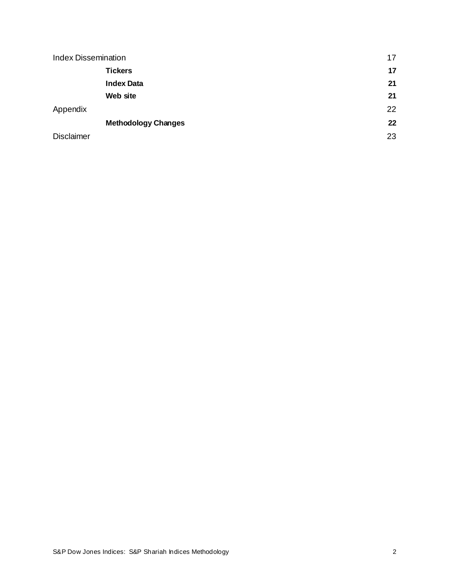| <b>Index Dissemination</b> |                            | 17 |
|----------------------------|----------------------------|----|
|                            | <b>Tickers</b>             | 17 |
|                            | <b>Index Data</b>          | 21 |
|                            | Web site                   | 21 |
| Appendix                   |                            | 22 |
|                            | <b>Methodology Changes</b> | 22 |
| <b>Disclaimer</b>          |                            | 23 |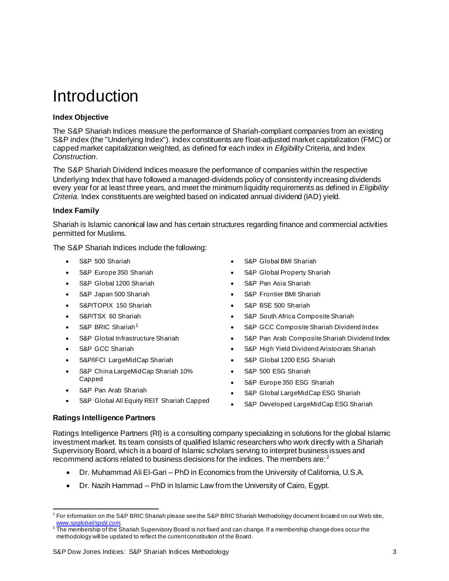## <span id="page-3-0"></span>Introduction

## <span id="page-3-1"></span>**Index Objective**

The S&P Shariah Indices measure the performance of Shariah-compliant companies from an existing S&P index (the "Underlying Index"). Index constituents are float-adjusted market capitalization (FMC) or capped market capitalization weighted, as defined for each index in *Eligibility* Criteria, and Index *Construction*.

The S&P Shariah Dividend Indices measure the performance of companies within the respective Underlying Index that have followed a managed-dividends policy of consistently increasing dividends every year for at least three years, and meet the minimum liquidity requirements as defined in *Eligibility Criteria*. Index constituents are weighted based on indicated annual dividend (IAD) yield.

### <span id="page-3-2"></span>**Index Family**

Shariah is Islamic canonical law and has certain structures regarding finance and commercial activities permitted for Muslims.

The S&P Shariah Indices include the following:

- 
- 
- 
- 
- S&P/TOPIX 150 Shariah S&P BSE 500 Shariah
- 
- S&P BRIC Shariah $<sup>1</sup>$ </sup>
- 
- 
- S&P/IFCI LargeMidCap Shariah
- S&P China LargeMidCap Shariah 10% Capped
- S&P Pan Arab Shariah
- S&P Global All Equity REIT Shariah Capped

## <span id="page-3-3"></span>**Ratings Intelligence Partners**

- S&P 500 Shariah S&P Global BMI Shariah
- S&P Europe 350 Shariah S&P Global Property Shariah
- S&P Global 1200 Shariah S&P Pan Asia Shariah
- S&P Japan 500 Shariah S&P Frontier BMI Shariah
	-
- S&P/TSX 60 Shariah S&P South Africa Composite Shariah
	- S&P GCC Composite Shariah Dividend Index
- S&P Global Infrastructure Shariah S&P Pan Arab Composite Shariah Dividend Index
- S&P GCC Shariah S&P High Yield Dividend Aristocrats Shariah
	- S&P Global 1200 ESG Shariah
	- S&P 500 ESG Shariah
	- S&P Europe 350 ESG Shariah
	- S&P Global LargeMidCap ESG Shariah
	- S&P Developed LargeMidCap ESG Shariah

Ratings Intelligence Partners (RI) is a consulting company specializing in solutions for the global Islamic investment market. Its team consists of qualified Islamic researchers who work directly with a Shariah Supervisory Board, which is a board of Islamic scholars serving to interpret business issues and recommend actions related to business decisions for the indices. The members are: <sup>2</sup>

- Dr. Muhammad Ali El-Gari PhD in Economics from the University of California, U.S.A.
- Dr. Nazih Hammad PhD in Islamic Law from the University of Cairo, Egypt.

<sup>1</sup> For information on the S&P BRIC Shariah please see the S&P BRIC Shariah Methodology document located on our Web site, *[www.spglobal/spdji.com.](http://www.spdji.com/)*

 $^2$  The membership of the Shariah Supervisory Board is not fixed and can change. If a membership change does occur the methodology will be updated to reflect the current constitution of the Board.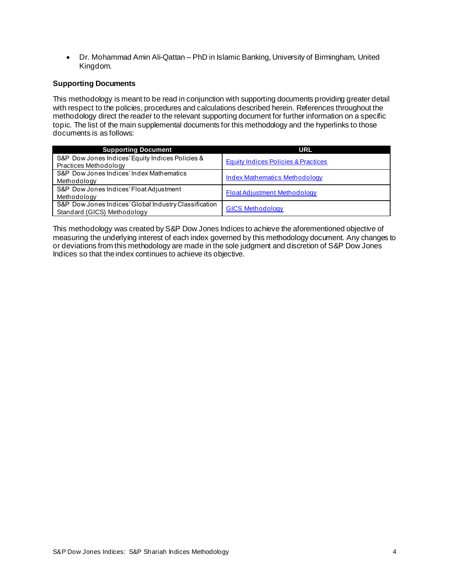• Dr. Mohammad Amin Ali-Qattan – PhD in Islamic Banking, University of Birmingham, United Kingdom.

### <span id="page-4-0"></span>**Supporting Documents**

This methodology is meant to be read in conjunction with supporting documents providing greater detail with respect to the policies, procedures and calculations described herein. References throughout the methodology direct the reader to the relevant supporting document for further information on a specific topic. The list of the main supplemental documents for this methodology and the hyperlinks to those documents is as follows:

| <b>Supporting Document</b>                            | URL                                            |
|-------------------------------------------------------|------------------------------------------------|
| S&P Dow Jones Indices' Equity Indices Policies &      | <b>Equity Indices Policies &amp; Practices</b> |
| Practices Methodology                                 |                                                |
| S&P Dow Jones Indices' Index Mathematics              | <b>Index Mathematics Methodology</b>           |
| Methodology                                           |                                                |
| S&P Dow Jones Indices' Float Adjustment               |                                                |
| Methodology                                           | <b>Float Adjustment Methodology</b>            |
| S&P Dow Jones Indices' Global Industry Classification |                                                |
| Standard (GICS) Methodology                           | <b>GICS Methodology</b>                        |

This methodology was created by S&P Dow Jones Indices to achieve the aforementioned objective of measuring the underlying interest of each index governed by this methodology document. Any changes to or deviations from this methodology are made in the sole judgment and discretion of S&P Dow Jones Indices so that the index continues to achieve its objective.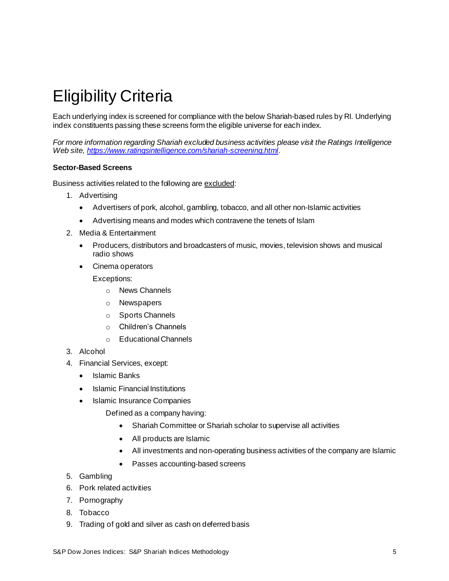## <span id="page-5-0"></span>Eligibility Criteria

Each underlying index is screened for compliance with the below Shariah-based rules by RI. Underlying index constituents passing these screens form the eligible universe for each index.

*For more information regarding Shariah excluded business activities please visit the Ratings Intelligence Web site[, https://www.ratingsintelligence.com/shariah-screening.html](https://www.ratingsintelligence.com/shariah-screening.html)*.

### <span id="page-5-1"></span>**Sector-Based Screens**

Business activities related to the following are excluded:

- 1. Advertising
	- Advertisers of pork, alcohol, gambling, tobacco, and all other non-Islamic activities
	- Advertising means and modes which contravene the tenets of Islam
- 2. Media & Entertainment
	- Producers, distributors and broadcasters of music, movies, television shows and musical radio shows
	- Cinema operators

Exceptions:

- o News Channels
- o Newspapers
- o Sports Channels
- o Children's Channels
- o Educational Channels
- 3. Alcohol
- 4. Financial Services, except:
	- Islamic Banks
	- Islamic Financial Institutions
	- Islamic Insurance Companies
		- Defined as a company having:
			- Shariah Committee or Shariah scholar to supervise all activities
			- All products are Islamic
			- All investments and non-operating business activities of the company are Islamic
			- Passes accounting-based screens
- 5. Gambling
- 6. Pork related activities
- 7. Pornography
- 8. Tobacco
- 9. Trading of gold and silver as cash on deferred basis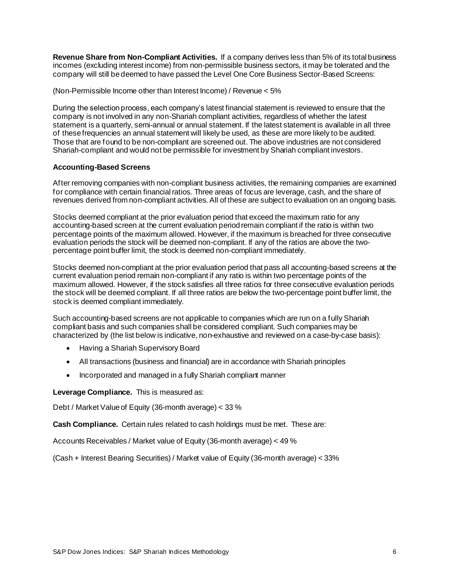**Revenue Share from Non-Compliant Activities.** If a company derives less than 5% of its total business incomes (excluding interest income) from non-permissible business sectors, it may be tolerated and the company will still be deemed to have passed the Level One Core Business Sector-Based Screens:

(Non-Permissible Income other than Interest Income) / Revenue < 5%

During the selection process, each company's latest financial statement is reviewed to ensure that the company is not involved in any non-Shariah compliant activities, regardless of whether the latest statement is a quarterly, semi-annual or annual statement. If the latest statement is available in all three of these frequencies an annual statement will likely be used, as these are more likely to be audited. Those that are found to be non-compliant are screened out. The above industries are not considered Shariah-compliant and would not be permissible for investment by Shariah compliant investors.

## <span id="page-6-0"></span>**Accounting-Based Screens**

After removing companies with non-compliant business activities, the remaining companies are examined for compliance with certain financial ratios. Three areas of focus are leverage, cash, and the share of revenues derived from non-compliant activities. All of these are subject to evaluation on an ongoing basis.

Stocks deemed compliant at the prior evaluation period that exceed the maximum ratio for any accounting-based screen at the current evaluation period remain compliant if the ratio is within two percentage points of the maximum allowed. However, if the maximum is breached for three consecutive evaluation periods the stock will be deemed non-compliant. If any of the ratios are above the twopercentage point buffer limit, the stock is deemed non-compliant immediately.

Stocks deemed non-compliant at the prior evaluation period that pass all accounting-based screens at the current evaluation period remain non-compliant if any ratio is within two percentage points of the maximum allowed. However, if the stock satisfies all three ratios for three consecutive evaluation periods the stock will be deemed compliant. If all three ratios are below the two-percentage point buffer limit, the stock is deemed compliant immediately.

Such accounting-based screens are not applicable to companies which are run on a fully Shariah compliant basis and such companies shall be considered compliant. Such companies may be characterized by (the list below is indicative, non-exhaustive and reviewed on a case-by-case basis):

- Having a Shariah Supervisory Board
- All transactions (business and financial) are in accordance with Shariah principles
- Incorporated and managed in a fully Shariah compliant manner

**Leverage Compliance.** This is measured as:

Debt / Market Value of Equity (36-month average) < 33 %

**Cash Compliance.** Certain rules related to cash holdings must be met. These are:

Accounts Receivables / Market value of Equity (36-month average) < 49 %

(Cash + Interest Bearing Securities) / Market value of Equity (36-month average) < 33%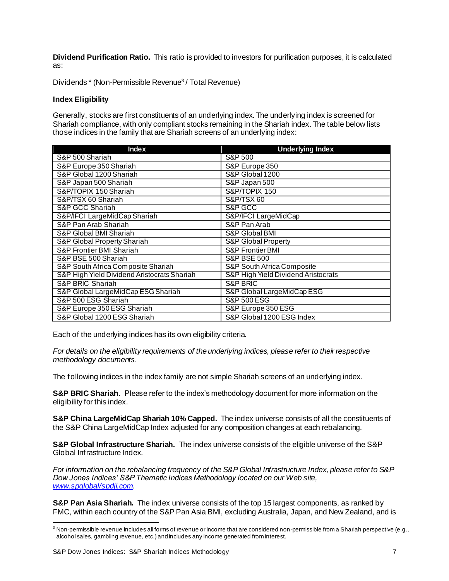**Dividend Purification Ratio.** This ratio is provided to investors for purification purposes, it is calculated as:

Dividends \* (Non-Permissible Revenue<sup>3</sup> / Total Revenue)

### <span id="page-7-0"></span>**Index Eligibility**

Generally, stocks are first constituents of an underlying index. The underlying index is screened for Shariah compliance, with only compliant stocks remaining in the Shariah index. The table below lists those indices in the family that are Shariah screens of an underlying index:

| <b>Index</b>                                | <b>Underlying Index</b>               |
|---------------------------------------------|---------------------------------------|
| S&P 500 Shariah                             | S&P 500                               |
| S&P Europe 350 Shariah                      | S&P Europe 350                        |
| S&P Global 1200 Shariah                     | S&P Global 1200                       |
| S&P Japan 500 Shariah                       | S&P Japan 500                         |
| S&P/TOPIX 150 Shariah                       | S&P/TOPIX 150                         |
| S&P/TSX 60 Shariah                          | S&P/TSX 60                            |
| <b>S&amp;P GCC Shariah</b>                  | S&P GCC                               |
| S&P/IFCI LargeMidCap Shariah                | S&P/IFCI LargeMidCap                  |
| S&P Pan Arab Shariah                        | S&P Pan Arab                          |
| S&P Global BMI Shariah                      | S&P Global BMI                        |
| <b>S&amp;P Global Property Shariah</b>      | <b>S&amp;P Global Property</b>        |
| S&P Frontier BMI Shariah                    | <b>S&amp;P Frontier BMI</b>           |
| S&P BSE 500 Shariah                         | <b>S&amp;P BSE 500</b>                |
| S&P South Africa Composite Shariah          | <b>S&amp;P South Africa Composite</b> |
| S&P High Yield Dividend Aristocrats Shariah | S&P High Yield Dividend Aristocrats   |
| <b>S&amp;P BRIC Shariah</b>                 | <b>S&amp;P BRIC</b>                   |
| S&P Global LargeMidCap ESG Shariah          | S&P Global LargeMidCap ESG            |
| S&P 500 ESG Shariah                         | <b>S&amp;P 500 ESG</b>                |
| S&P Europe 350 ESG Shariah                  | S&P Europe 350 ESG                    |
| S&P Global 1200 ESG Shariah                 | S&P Global 1200 ESG Index             |

Each of the underlying indices has its own eligibility criteria.

*For details on the eligibility requirements of the underlying indices, please refer to their respective methodology documents.*

The following indices in the index family are not simple Shariah screens of an underlying index.

**S&P BRIC Shariah.** Please refer to the index's methodology document for more information on the eligibility for this index.

**S&P China LargeMidCap Shariah 10% Capped.** The index universe consists of all the constituents of the S&P China LargeMidCap Index adjusted for any composition changes at each rebalancing.

**S&P Global Infrastructure Shariah.** The index universe consists of the eligible universe of the S&P Global Infrastructure Index.

*For information on the rebalancing frequency of the S&P Global Infrastructure Index, please refer to S&P Dow Jones Indices' S&P Thematic Indices Methodology located on our Web site, [www.spglobal/spdji.com](http://www.spdji.com/).*

**S&P Pan Asia Shariah.** The index universe consists of the top 15 largest components, as ranked by FMC, within each country of the S&P Pan Asia BMI, excluding Australia, Japan, and New Zealand, and is

 $3$  Non-permissible revenue includes all forms of revenue or income that are considered non-permissible from a Shariah perspective (e.g., alcohol sales, gambling revenue, etc.) and includes any income generated from interest.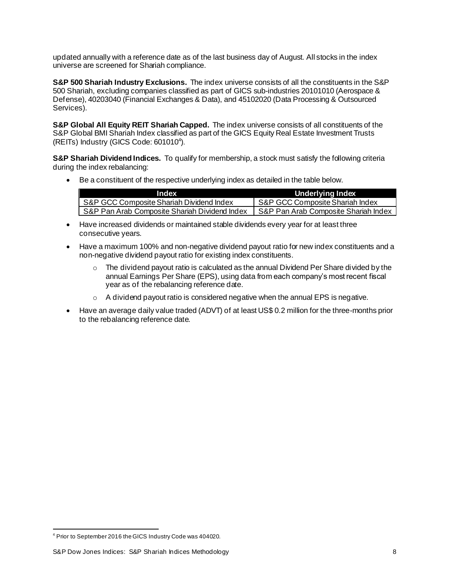updated annually with a reference date as of the last business day of August. All stocks in the index universe are screened for Shariah compliance.

**S&P 500 Shariah Industry Exclusions.** The index universe consists of all the constituents in the S&P 500 Shariah, excluding companies classified as part of GICS sub-industries 20101010 (Aerospace & Defense), 40203040 (Financial Exchanges & Data), and 45102020 (Data Processing & Outsourced Services).

**S&P Global All Equity REIT Shariah Capped.** The index universe consists of all constituents of the S&P Global BMI Shariah Index classified as part of the GICS Equity Real Estate Investment Trusts (REITs) Industry (GICS Code: 601010<sup>4</sup>).

**S&P Shariah Dividend Indices.** To qualify for membership, a stock must satisfy the following criteria during the index rebalancing:

• Be a constituent of the respective underlying index as detailed in the table below.

| Index                                         | Underlying Index                     |
|-----------------------------------------------|--------------------------------------|
| S&P GCC Composite Shariah Dividend Index      | S&P GCC Composite Shariah Index      |
| S&P Pan Arab Composite Shariah Dividend Index | S&P Pan Arab Composite Shariah Index |

- Have increased dividends or maintained stable dividends every year for at least three consecutive years.
- Have a maximum 100% and non-negative dividend payout ratio for new index constituents and a non-negative dividend payout ratio for existing index constituents.
	- $\circ$  The dividend payout ratio is calculated as the annual Dividend Per Share divided by the annual Earnings Per Share (EPS), using data from each company's most recent fiscal year as of the rebalancing reference date.
	- $\circ$  A dividend payout ratio is considered negative when the annual EPS is negative.
- Have an average daily value traded (ADVT) of at least US\$ 0.2 million for the three-months prior to the rebalancing reference date.

<sup>4</sup> Prior to September 2016 the GICS Industry Code was 404020.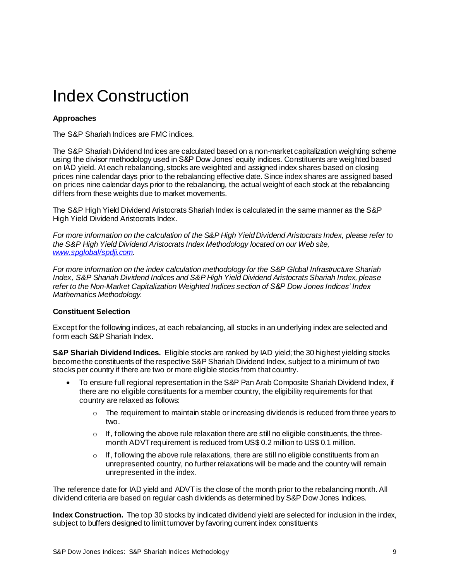## <span id="page-9-0"></span>Index Construction

## <span id="page-9-1"></span>**Approaches**

The S&P Shariah Indices are FMC indices.

The S&P Shariah Dividend Indices are calculated based on a non-market capitalization weighting scheme using the divisor methodology used in S&P Dow Jones' equity indices. Constituents are weighted based on IAD yield. At each rebalancing, stocks are weighted and assigned index shares based on closing prices nine calendar days prior to the rebalancing effective date. Since index shares are assigned based on prices nine calendar days prior to the rebalancing, the actual weight of each stock at the rebalancing differs from these weights due to market movements.

The S&P High Yield Dividend Aristocrats Shariah Index is calculated in the same manner as the S&P High Yield Dividend Aristocrats Index.

*For more information on the calculation of the S&P High Yield Dividend Aristocrats Index, please refer to the S&P High Yield Dividend Aristocrats Index Methodology located on our Web site, [www.spglobal/spdji.com](http://www.spdji.com/).*

*For more information on the index calculation methodology for the S&P Global Infrastructure Shariah Index, S&P Shariah Dividend Indices and S&P High Yield Dividend Aristocrats Shariah Index, please refer to the Non-Market Capitalization Weighted Indices section of S&P Dow Jones Indices' Index Mathematics Methodology.*

## <span id="page-9-2"></span>**Constituent Selection**

Except for the following indices, at each rebalancing, all stocks in an underlying index are selected and form each S&P Shariah Index.

**S&P Shariah Dividend Indices.** Eligible stocks are ranked by IAD yield; the 30 highest yielding stocks become the constituents of the respective S&P Shariah Dividend Index, subject to a minimum of two stocks per country if there are two or more eligible stocks from that country.

- To ensure full regional representation in the S&P Pan Arab Composite Shariah Dividend Index, if there are no eligible constituents for a member country, the eligibility requirements for that country are relaxed as follows:
	- $\circ$  The requirement to maintain stable or increasing dividends is reduced from three years to two.
	- $\circ$  If, following the above rule relaxation there are still no eligible constituents, the threemonth ADVT requirement is reduced from US\$ 0.2 million to US\$ 0.1 million.
	- $\circ$  If, following the above rule relaxations, there are still no eligible constituents from an unrepresented country, no further relaxations will be made and the country will remain unrepresented in the index.

The reference date for IAD yield and ADVT is the close of the month prior to the rebalancing month. All dividend criteria are based on regular cash dividends as determined by S&P Dow Jones Indices.

**Index Construction.** The top 30 stocks by indicated dividend yield are selected for inclusion in the index, subject to buffers designed to limit turnover by favoring current index constituents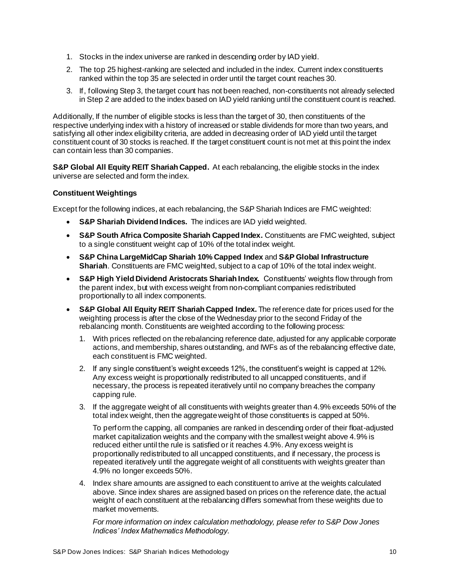- 1. Stocks in the index universe are ranked in descending order by IAD yield.
- 2. The top 25 highest-ranking are selected and included in the index. Current index constituents ranked within the top 35 are selected in order until the target count reaches 30.
- 3. If, following Step 3, the target count has not been reached, non-constituents not already selected in Step 2 are added to the index based on IAD yield ranking until the constituent count is reached.

Additionally, If the number of eligible stocks is less than the target of 30, then constituents of the respective underlying index with a history of increased or stable dividends for more than two years, and satisfying all other index eligibility criteria, are added in decreasing order of IAD yield until the target constituent count of 30 stocks is reached. If the target constituent count is not met at this point the index can contain less than 30 companies.

**S&P Global All Equity REIT Shariah Capped.** At each rebalancing, the eligible stocks in the index universe are selected and form the index.

## <span id="page-10-0"></span>**Constituent Weightings**

Except for the following indices, at each rebalancing, the S&P Shariah Indices are FMC weighted:

- **S&P Shariah Dividend Indices.** The indices are IAD yield weighted.
- **S&P South Africa Composite Shariah Capped Index.** Constituents are FMC weighted, subject to a single constituent weight cap of 10% of the total index weight.
- **S&P China LargeMidCap Shariah 10% Capped Index** and **S&P Global Infrastructure Shariah**. Constituents are FMC weighted, subject to a cap of 10% of the total index weight.
- **S&P High Yield Dividend Aristocrats Shariah Index.** Constituents' weights flow through from the parent index, but with excess weight from non-compliant companies redistributed proportionally to all index components.
- **S&P Global All Equity REIT Shariah Capped Index.** The reference date for prices used for the weighting process is after the close of the Wednesday prior to the second Friday of the rebalancing month. Constituents are weighted according to the following process:
	- 1. With prices reflected on the rebalancing reference date, adjusted for any applicable corporate actions, and membership, shares outstanding, and IWFs as of the rebalancing effective date, each constituent is FMC weighted.
	- 2. If any single constituent's weight exceeds 12%, the constituent's weight is capped at 12%. Any excess weight is proportionally redistributed to all uncapped constituents, and if necessary, the process is repeated iteratively until no company breaches the company capping rule.
	- 3. If the aggregate weight of all constituents with weights greater than 4.9% exceeds 50% of the total index weight, then the aggregate weight of those constituents is capped at 50%.

To perform the capping, all companies are ranked in descending order of their float-adjusted market capitalization weights and the company with the smallest weight above 4.9% is reduced either until the rule is satisfied or it reaches 4.9%. Any excess weight is proportionally redistributed to all uncapped constituents, and if necessary, the process is repeated iteratively until the aggregate weight of all constituents with weights greater than 4.9% no longer exceeds 50%.

4. Index share amounts are assigned to each constituent to arrive at the weights calculated above. Since index shares are assigned based on prices on the reference date, the actual weight of each constituent at the rebalancing differs somewhat from these weights due to market movements.

*For more information on index calculation methodology, please refer to S&P Dow Jones Indices' Index Mathematics Methodology*.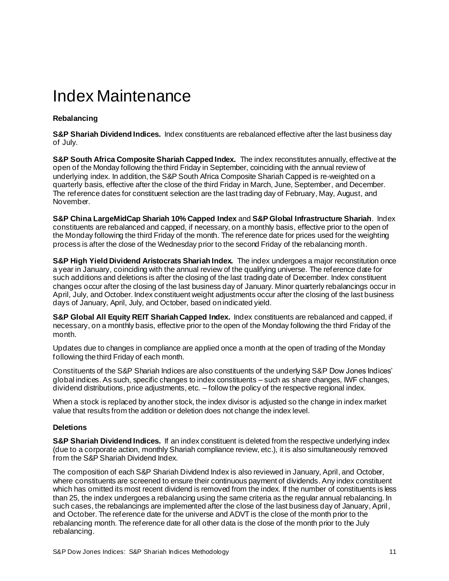## <span id="page-11-0"></span>Index Maintenance

## <span id="page-11-1"></span>**Rebalancing**

**S&P Shariah Dividend Indices.** Index constituents are rebalanced effective after the last business day of July.

**S&P South Africa Composite Shariah Capped Index.** The index reconstitutes annually, effective at the open of the Monday following the third Friday in September, coinciding with the annual review of underlying index. In addition, the S&P South Africa Composite Shariah Capped is re-weighted on a quarterly basis, effective after the close of the third Friday in March, June, September, and December. The reference dates for constituent selection are the last trading day of February, May, August, and November.

**S&P China LargeMidCap Shariah 10% Capped Index** and **S&P Global Infrastructure Shariah**. Index constituents are rebalanced and capped, if necessary, on a monthly basis, effective prior to the open of the Monday following the third Friday of the month. The reference date for prices used for the weighting process is after the close of the Wednesday prior to the second Friday of the rebalancing month.

**S&P High Yield Dividend Aristocrats Shariah Index.** The index undergoes a major reconstitution once a year in January, coinciding with the annual review of the qualifying universe. The reference date for such additions and deletions is after the closing of the last trading date of December. Index constituent changes occur after the closing of the last business day of January. Minor quarterly rebalancings occur in April, July, and October. Index constituent weight adjustments occur after the closing of the last business days of January, April, July, and October, based on indicated yield.

**S&P Global All Equity REIT Shariah Capped Index.** Index constituents are rebalanced and capped, if necessary, on a monthly basis, effective prior to the open of the Monday following the third Friday of the month.

Updates due to changes in compliance are applied once a month at the open of trading of the Monday following the third Friday of each month.

Constituents of the S&P Shariah Indices are also constituents of the underlying S&P Dow Jones Indices' global indices. As such, specific changes to index constituents – such as share changes, IWF changes, dividend distributions, price adjustments, etc. – follow the policy of the respective regional index.

When a stock is replaced by another stock, the index divisor is adjusted so the change in index market value that results from the addition or deletion does not change the index level.

## <span id="page-11-2"></span>**Deletions**

**S&P Shariah Dividend Indices.** If an index constituent is deleted from the respective underlying index (due to a corporate action, monthly Shariah compliance review, etc.), it is also simultaneously removed from the S&P Shariah Dividend Index.

The composition of each S&P Shariah Dividend Index is also reviewed in January, April, and October, where constituents are screened to ensure their continuous payment of dividends. Any index constituent which has omitted its most recent dividend is removed from the index. If the number of constituents is less than 25, the index undergoes a rebalancing using the same criteria as the regular annual rebalancing. In such cases, the rebalancings are implemented after the close of the last business day of January, April, and October. The reference date for the universe and ADVT is the close of the month prior to the rebalancing month. The reference date for all other data is the close of the month prior to the July rebalancing.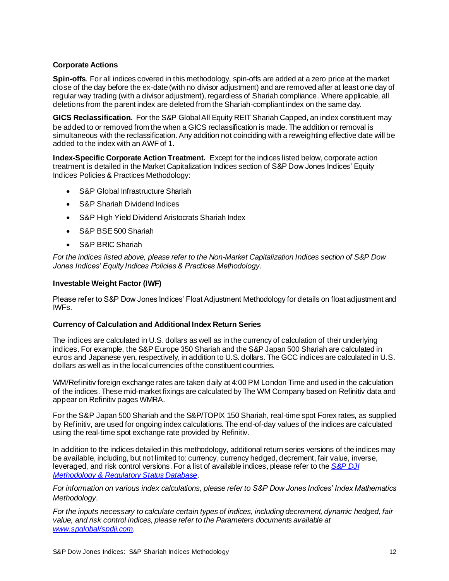## <span id="page-12-0"></span>**Corporate Actions**

**Spin-offs**. For all indices covered in this methodology, spin-offs are added at a zero price at the market close of the day before the ex-date (with no divisor adjustment) and are removed after at least one day of regular way trading (with a divisor adjustment), regardless of Shariah compliance. Where applicable, all deletions from the parent index are deleted from the Shariah-compliant index on the same day.

**GICS Reclassification.** For the S&P Global All Equity REIT Shariah Capped, an index constituent may be added to or removed from the when a GICS reclassification is made. The addition or removal is simultaneous with the reclassification. Any addition not coinciding with a reweighting effective date will be added to the index with an AWF of 1.

**Index-Specific Corporate Action Treatment.** Except for the indices listed below, corporate action treatment is detailed in the Market Capitalization Indices section of S&P Dow Jones Indices' Equity Indices Policies & Practices Methodology:

- S&P Global Infrastructure Shariah
- S&P Shariah Dividend Indices
- S&P High Yield Dividend Aristocrats Shariah Index
- S&P BSE 500 Shariah
- S&P BRIC Shariah

*For the indices listed above, please refer to the Non-Market Capitalization Indices section of S&P Dow Jones Indices' Equity Indices Policies & Practices Methodology*.

#### <span id="page-12-1"></span>**Investable Weight Factor (IWF)**

Please refer to S&P Dow Jones Indices' Float Adjustment Methodology for details on float adjustment and IWFs*.*

#### <span id="page-12-2"></span>**Currency of Calculation and Additional Index Return Series**

The indices are calculated in U.S. dollars as well as in the currency of calculation of their underlying indices. For example, the S&P Europe 350 Shariah and the S&P Japan 500 Shariah are calculated in euros and Japanese yen, respectively, in addition to U.S. dollars. The GCC indices are calculated in U.S. dollars as well as in the local currencies of the constituent countries.

WM/Refinitiv foreign exchange rates are taken daily at 4:00 PM London Time and used in the calculation of the indices. These mid-market fixings are calculated by The WM Company based on Refinitiv data and appear on Refinitiv pages WMRA.

For the S&P Japan 500 Shariah and the S&P/TOPIX 150 Shariah, real-time spot Forex rates, as supplied by Refinitiv, are used for ongoing index calculations. The end-of-day values of the indices are calculated using the real-time spot exchange rate provided by Refinitiv.

In addition to the indices detailed in this methodology, additional return series versions of the indices may be available, including, but not limited to: currency, currency hedged, decrement, fair value, inverse, leveraged, and risk control versions. For a list of available indices, please refer to the *[S&P DJI](https://www.spglobal.com/spdji/en/governance/methodology-and-regulatory-status/)  [Methodology & Regulatory Status Database](https://www.spglobal.com/spdji/en/governance/methodology-and-regulatory-status/)*.

*For information on various index calculations, please refer to S&P Dow Jones Indices' Index Mathematics Methodology.*

*For the inputs necessary to calculate certain types of indices, including decrement, dynamic hedged, fair value, and risk control indices, please refer to the Parameters documents available at [www.spglobal/spdji.com](http://www.spdji.com/).*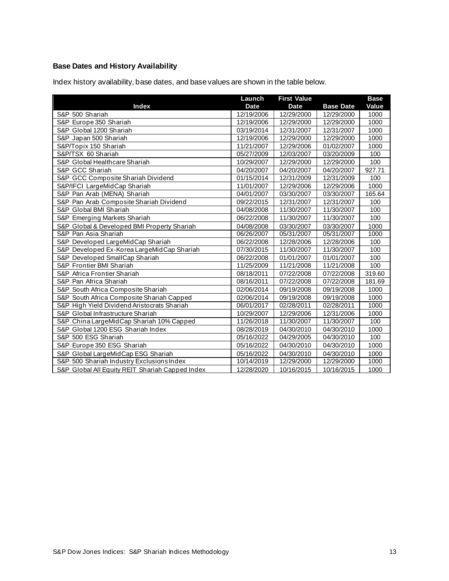## <span id="page-13-0"></span>**Base Dates and History Availability**

Index history availability, base dates, and base values are shown in the table below.

|                                                 | Launch      | <b>First Value</b> |                  | <b>Base</b> |
|-------------------------------------------------|-------------|--------------------|------------------|-------------|
| <b>Index</b>                                    | <b>Date</b> | <b>Date</b>        | <b>Base Date</b> | Value       |
| S&P 500 Shariah                                 | 12/19/2006  | 12/29/2000         | 12/29/2000       | 1000        |
| S&P Europe 350 Shariah                          | 12/19/2006  | 12/29/2000         | 12/29/2000       | 1000        |
| S&P Global 1200 Shariah                         | 03/19/2014  | 12/31/2007         | 12/31/2007       | 1000        |
| S&P Japan 500 Shariah                           | 12/19/2006  | 12/29/2000         | 12/29/2000       | 1000        |
| S&P/Topix 150 Shariah                           | 11/21/2007  | 12/29/2006         | 01/02/2007       | 1000        |
| S&P/TSX 60 Shariah                              | 05/27/2009  | 12/03/2007         | 03/20/2009       | 100         |
| S&P Global Healthcare Shariah                   | 10/29/2007  | 12/29/2000         | 12/29/2000       | 100         |
| S&P GCC Shariah                                 | 04/20/2007  | 04/20/2007         | 04/20/2007       | 927.71      |
| S&P GCC Composite Shariah Dividend              | 01/15/2014  | 12/31/2009         | 12/31/2009       | 100         |
| S&P/IFCI LargeMidCap Shariah                    | 11/01/2007  | 12/29/2006         | 12/29/2006       | 1000        |
| S&P Pan Arab (MENA) Shariah                     | 04/01/2007  | 03/30/2007         | 03/30/2007       | 165.64      |
| S&P Pan Arab Composite Shariah Dividend         | 09/22/2015  | 12/31/2007         | 12/31/2007       | 100         |
| S&P Global BMI Shariah                          | 04/08/2008  | 11/30/2007         | 11/30/2007       | 100         |
| S&P Emerging Markets Shariah                    | 06/22/2008  | 11/30/2007         | 11/30/2007       | 100         |
| S&P Global & Developed BMI Property Shariah     | 04/08/2008  | 03/30/2007         | 03/30/2007       | 1000        |
| S&P Pan Asia Shariah                            | 06/26/2007  | 05/31/2007         | 05/31/2007       | 1000        |
| S&P Developed LargeMidCap Shariah               | 06/22/2008  | 12/28/2006         | 12/28/2006       | 100         |
| S&P Developed Ex-Korea LargeMidCap Shariah      | 07/30/2015  | 11/30/2007         | 11/30/2007       | 100         |
| S&P Developed SmallCap Shariah                  | 06/22/2008  | 01/01/2007         | 01/01/2007       | 100         |
| S&P Frontier BMI Shariah                        | 11/25/2009  | 11/21/2008         | 11/21/2008       | 100         |
| S&P Africa Frontier Shariah                     | 08/18/2011  | 07/22/2008         | 07/22/2008       | 319.60      |
| S&P Pan Africa Shariah                          | 08/16/2011  | 07/22/2008         | 07/22/2008       | 181.69      |
| S&P South Africa Composite Shariah              | 02/06/2014  | 09/19/2008         | 09/19/2008       | 1000        |
| S&P South Africa Composite Shariah Capped       | 02/06/2014  | 09/19/2008         | 09/19/2008       | 1000        |
| S&P High Yield Dividend Aristocrats Shariah     | 06/01/2017  | 02/28/2011         | 02/28/2011       | 1000        |
| S&P Global Infrastructure Shariah               | 10/29/2007  | 12/29/2006         | 12/31/2006       | 1000        |
| S&P China LargeMidCap Shariah 10% Capped        | 11/26/2018  | 11/30/2007         | 11/30/2007       | 100         |
| S&P Global 1200 ESG Shariah Index               | 08/28/2019  | 04/30/2010         | 04/30/2010       | 1000        |
| S&P 500 ESG Shariah                             | 05/16/2022  | 04/29/2005         | 04/30/2010       | 100         |
| S&P Europe 350 ESG Shariah                      | 05/16/2022  | 04/30/2010         | 04/30/2010       | 1000        |
| S&P Global LargeMidCap ESG Shariah              | 05/16/2022  | 04/30/2010         | 04/30/2010       | 1000        |
| S&P 500 Shariah Industry Exclusions Index       | 10/14/2019  | 12/29/2000         | 12/29/2000       | 1000        |
| S&P Global All Equity REIT Shariah Capped Index | 12/28/2020  | 10/16/2015         | 10/16/2015       | 1000        |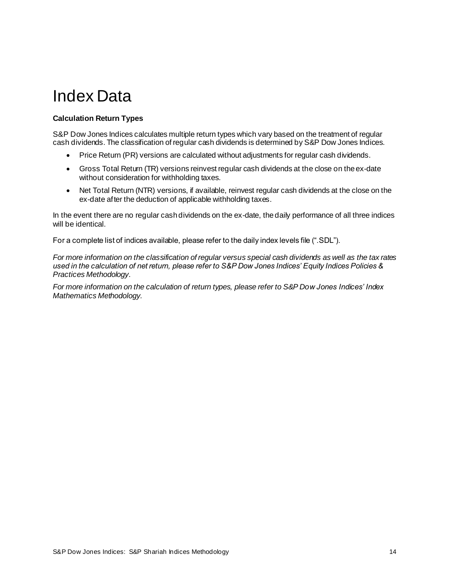## <span id="page-14-0"></span>Index Data

## <span id="page-14-1"></span>**Calculation Return Types**

S&P Dow Jones Indices calculates multiple return types which vary based on the treatment of regular cash dividends. The classification of regular cash dividends is determined by S&P Dow Jones Indices.

- Price Return (PR) versions are calculated without adjustments for regular cash dividends.
- Gross Total Return (TR) versions reinvest regular cash dividends at the close on the ex-date without consideration for withholding taxes.
- Net Total Return (NTR) versions, if available, reinvest regular cash dividends at the close on the ex-date after the deduction of applicable withholding taxes.

In the event there are no regular cash dividends on the ex-date, the daily performance of all three indices will be identical.

For a complete list of indices available, please refer to the daily index levels file (".SDL").

*For more information on the classification of regular versus special cash dividends as well as the tax rates used in the calculation of net return, please refer to S&P Dow Jones Indices' Equity Indices Policies & Practices Methodology*.

*For more information on the calculation of return types, please refer to S&P Dow Jones Indices' Index Mathematics Methodology.*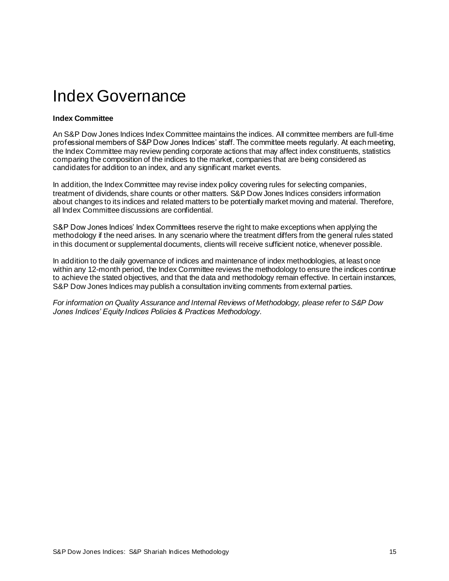## <span id="page-15-0"></span>Index Governance

### <span id="page-15-1"></span>**Index Committee**

An S&P Dow Jones Indices Index Committee maintains the indices. All committee members are full-time professional members of S&P Dow Jones Indices' staff. The committee meets regularly. At each meeting, the Index Committee may review pending corporate actions that may affect index constituents, statistics comparing the composition of the indices to the market, companies that are being considered as candidates for addition to an index, and any significant market events.

In addition, the Index Committee may revise index policy covering rules for selecting companies, treatment of dividends, share counts or other matters. S&P Dow Jones Indices considers information about changes to its indices and related matters to be potentially market moving and material. Therefore, all Index Committee discussions are confidential.

S&P Dow Jones Indices' Index Committees reserve the right to make exceptions when applying the methodology if the need arises. In any scenario where the treatment differs from the general rules stated in this document or supplemental documents, clients will receive sufficient notice, whenever possible.

In addition to the daily governance of indices and maintenance of index methodologies, at least once within any 12-month period, the Index Committee reviews the methodology to ensure the indices continue to achieve the stated objectives, and that the data and methodology remain effective. In certain instances, S&P Dow Jones Indices may publish a consultation inviting comments from external parties.

*For information on Quality Assurance and Internal Reviews of Methodology, please refer to S&P Dow Jones Indices' Equity Indices Policies & Practices Methodology*.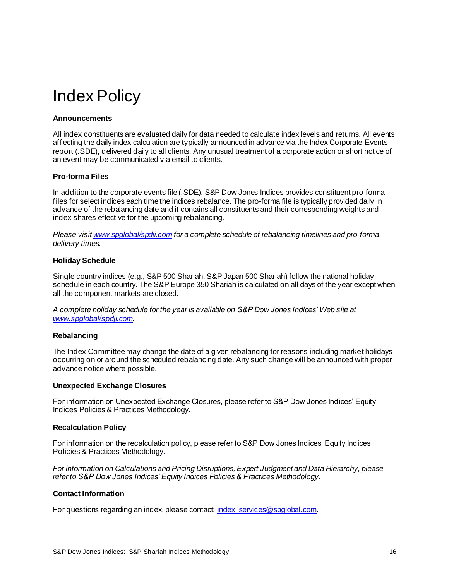## <span id="page-16-0"></span>Index Policy

## <span id="page-16-1"></span>**Announcements**

All index constituents are evaluated daily for data needed to calculate index levels and returns. All events affecting the daily index calculation are typically announced in advance via the Index Corporate Events report (.SDE), delivered daily to all clients. Any unusual treatment of a corporate action or short notice of an event may be communicated via email to clients.

### <span id="page-16-2"></span>**Pro-forma Files**

In addition to the corporate events file (.SDE), S&P Dow Jones Indices provides constituent pro-forma files for select indices each time the indices rebalance. The pro-forma file is typically provided daily in advance of the rebalancing date and it contains all constituents and their corresponding weights and index shares effective for the upcoming rebalancing.

*Please visi[t www.spglobal/spdji.com](http://www.spdji.com/) for a complete schedule of rebalancing timelines and pro-forma delivery times.*

### <span id="page-16-3"></span>**Holiday Schedule**

Single country indices (e.g., S&P 500 Shariah, S&P Japan 500 Shariah) follow the national holiday schedule in each country. The S&P Europe 350 Shariah is calculated on all days of the year except when all the component markets are closed.

*A complete holiday schedule for the year is available on S&P Dow Jones Indices' Web site at [www.spglobal/spdji.com](http://www.spdji.com/).*

#### <span id="page-16-4"></span>**Rebalancing**

The Index Committee may change the date of a given rebalancing for reasons including market holidays occurring on or around the scheduled rebalancing date. Any such change will be announced with proper advance notice where possible.

#### <span id="page-16-5"></span>**Unexpected Exchange Closures**

For information on Unexpected Exchange Closures, please refer to S&P Dow Jones Indices' Equity Indices Policies & Practices Methodology.

#### <span id="page-16-6"></span>**Recalculation Policy**

For information on the recalculation policy, please refer to S&P Dow Jones Indices' Equity Indices Policies & Practices Methodology.

*For information on Calculations and Pricing Disruptions, Expert Judgment and Data Hierarchy, please refer to S&P Dow Jones Indices' Equity Indices Policies & Practices Methodology*.

#### <span id="page-16-7"></span>**Contact Information**

For questions regarding an index, please contact: index services@spglobal.com.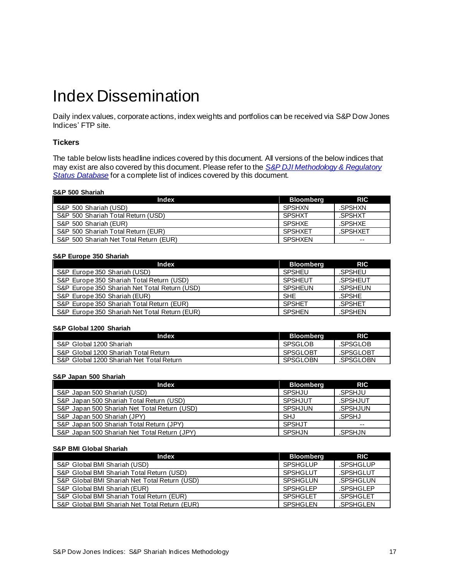## <span id="page-17-0"></span>Index Dissemination

Daily index values, corporate actions, index weights and portfolios can be received via S&P Dow Jones Indices' FTP site.

#### <span id="page-17-1"></span>**Tickers**

The table below lists headline indices covered by this document. All versions of the below indices that may exist are also covered by this document. Please refer to the *[S&P DJI Methodology & Regulatory](https://www.spglobal.com/spdji/en/governance/methodology-and-regulatory-status/)  [Status Database](https://www.spglobal.com/spdji/en/governance/methodology-and-regulatory-status/)* for a complete list of indices covered by this document.

#### **S&P 500 Shariah**

| Index                                  | <b>Bloomberg</b> | <b>RIC</b> |
|----------------------------------------|------------------|------------|
| S&P 500 Shariah (USD)                  | <b>SPSHXN</b>    | .SPSHXN    |
| S&P 500 Shariah Total Return (USD)     | <b>SPSHXT</b>    | .SPSHXT    |
| S&P 500 Shariah (EUR)                  | <b>SPSHXE</b>    | .SPSHXE    |
| S&P 500 Shariah Total Return (EUR)     | SPSHXET          | .SPSHXET   |
| S&P 500 Shariah Net Total Return (EUR) | <b>SPSHXEN</b>   | $-$        |

#### **S&P Europe 350 Shariah**

| <b>Index</b>                                  | <b>Bloombera</b> | <b>RIC</b> |
|-----------------------------------------------|------------------|------------|
| S&P Europe 350 Shariah (USD)                  | <b>SPSHEU</b>    | .SPSHEU    |
| S&P Europe 350 Shariah Total Return (USD)     | <b>SPSHEUT</b>   | .SPSHEUT   |
| S&P Europe 350 Shariah Net Total Return (USD) | SPSHEUN          | .SPSHEUN   |
| S&P Europe 350 Shariah (EUR)                  | <b>SHE</b>       | .SPSHE     |
| S&P Europe 350 Shariah Total Return (EUR)     | <b>SPSHET</b>    | .SPSHET    |
| S&P Europe 350 Shariah Net Total Return (EUR) | <b>SPSHEN</b>    | .SPSHEN    |

#### **S&P Global 1200 Shariah**

| Index                                    | <b>Bloomberg</b> | <b>RIC</b> |
|------------------------------------------|------------------|------------|
| S&P Global 1200 Shariah                  | <b>SPSGLOB</b>   | .SPSGLOB   |
| S&P Global 1200 Shariah Total Return     | <b>SPSGLOBT</b>  | .SPSGLOBT  |
| S&P Global 1200 Shariah Net Total Return | <b>SPSGLOBN</b>  | .SPSGLOBN  |

#### **S&P Japan 500 Shariah**

| <b>Index</b>                                 | <b>Bloomberg</b> | <b>RIC</b> |
|----------------------------------------------|------------------|------------|
| S&P Japan 500 Shariah (USD)                  | <b>SPSHJU</b>    | .SPSHJU    |
| S&P Japan 500 Shariah Total Return (USD)     | <b>SPSHJUT</b>   | .SPSHJUT   |
| S&P Japan 500 Shariah Net Total Return (USD) | <b>SPSHJUN</b>   | SPSHJUN.   |
| S&P Japan 500 Shariah (JPY)                  | <b>SHJ</b>       | .SPSHJ     |
| S&P Japan 500 Shariah Total Return (JPY)     | <b>SPSHJT</b>    | $- -$      |
| S&P Japan 500 Shariah Net Total Return (JPY) | <b>SPSHJN</b>    | .SPSHJN    |

#### **S&P BMI Global Shariah**

| Index                                         | Bloombera       | <b>RIC</b> |
|-----------------------------------------------|-----------------|------------|
| S&P Global BMI Shariah (USD)                  | <b>SPSHGLUP</b> | .SPSHGLUP  |
| S&P Global BMI Shariah Total Return (USD)     | <b>SPSHGLUT</b> | .SPSHGLUT  |
| S&P Global BMI Shariah Net Total Return (USD) | <b>SPSHGLUN</b> | SPSHGLUN.  |
| S&P Global BMI Shariah (EUR)                  | <b>SPSHGLEP</b> | .SPSHGLEP  |
| S&P Global BMI Shariah Total Return (EUR)     | <b>SPSHGLET</b> | .SPSHGLET  |
| S&P Global BMI Shariah Net Total Return (EUR) | <b>SPSHGLEN</b> | .SPSHGLEN  |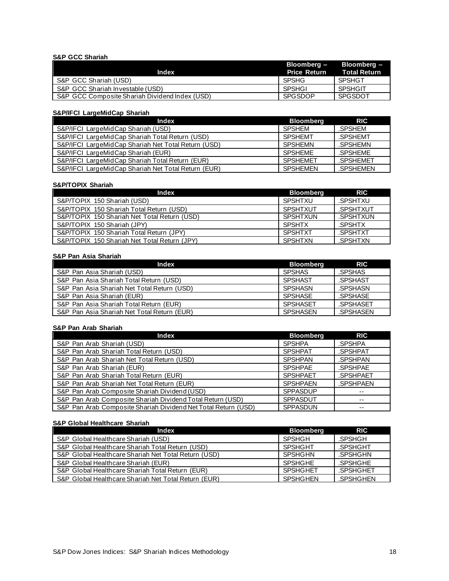#### **S&P GCC Shariah**

| Index                                          | Bloomberg -<br>Price Return | □ Bloomberg –<br>Total Return |
|------------------------------------------------|-----------------------------|-------------------------------|
| S&P GCC Shariah (USD)                          | <b>SPSHG</b>                | SPSHGT                        |
| S&P GCC Shariah Investable (USD)               | <b>SPSHGI</b>               | SPSHGIT                       |
| S&P GCC Composite Shariah Dividend Index (USD) | <b>SPGSDOP</b>              | SPGSDOT                       |

#### **S&P/IFCI LargeMidCap Shariah**

| Index                                               | <b>Bloomberg</b> | <b>RIC</b> |
|-----------------------------------------------------|------------------|------------|
| S&P/IFCI LargeMidCap Shariah (USD)                  | <b>SPSHEM</b>    | .SPSHEM    |
| S&P/IFCI LargeMidCap Shariah Total Return (USD)     | <b>SPSHEMT</b>   | .SPSHEMT   |
| S&P/IFCI LargeMidCap Shariah Net Total Return (USD) | <b>SPSHEMN</b>   | .SPSHEMN   |
| S&P/IFCI LargeMidCap Shariah (EUR)                  | <b>SPSHEME</b>   | .SPSHEME   |
| S&P/IFCI LargeMidCap Shariah Total Return (EUR)     | <b>SPSHEMET</b>  | .SPSHEMET  |
| S&P/IFCI LargeMidCap Shariah Net Total Return (EUR) | <b>SPSHEMEN</b>  | .SPSHEMEN  |

#### **S&P/TOPIX Shariah**

| <b>Index</b>                                 | <b>Bloombera</b> | <b>RIC</b> |
|----------------------------------------------|------------------|------------|
| S&P/TOPIX 150 Shariah (USD)                  | <b>SPSHTXU</b>   | .SPSHTXU   |
| S&P/TOPIX 150 Shariah Total Return (USD)     | <b>SPSHTXUT</b>  | .SPSHTXUT  |
| S&P/TOPIX 150 Shariah Net Total Return (USD) | <b>SPSHTXUN</b>  | .SPSHTXUN  |
| S&P/TOPIX 150 Shariah (JPY)                  | <b>SPSHTX</b>    | .SPSHTX    |
| S&P/TOPIX 150 Shariah Total Return (JPY)     | <b>SPSHTXT</b>   | .SPSHTXT   |
| S&P/TOPIX 150 Shariah Net Total Return (JPY) | <b>SPSHTXN</b>   | .SPSHTXN   |

#### **S&P Pan Asia Shariah**

| Index                                       | <b>Bloomberg</b> | <b>RIC</b> |
|---------------------------------------------|------------------|------------|
| S&P Pan Asia Shariah (USD)                  | <b>SPSHAS</b>    | SPSHAS.    |
| S&P Pan Asia Shariah Total Return (USD)     | <b>SPSHAST</b>   | .SPSHAST   |
| S&P Pan Asia Shariah Net Total Return (USD) | <b>SPSHASN</b>   | .SPSHASN   |
| S&P Pan Asia Shariah (EUR)                  | <b>SPSHASE</b>   | .SPSHASE   |
| S&P Pan Asia Shariah Total Return (EUR)     | <b>SPSHASFT</b>  | .SPSHASET  |
| S&P Pan Asia Shariah Net Total Return (EUR) | <b>SPSHASEN</b>  | .SPSHASEN  |

#### **S&P Pan Arab Shariah**

| <b>Index</b>                                                   | <b>Bloomberg</b> | <b>RIC</b> |
|----------------------------------------------------------------|------------------|------------|
| S&P Pan Arab Shariah (USD)                                     | <b>SPSHPA</b>    | .SPSHPA    |
| S&P Pan Arab Shariah Total Return (USD)                        | <b>SPSHPAT</b>   | .SPSHPAT   |
| S&P Pan Arab Shariah Net Total Return (USD)                    | <b>SPSHPAN</b>   | .SPSHPAN   |
| S&P Pan Arab Shariah (EUR)                                     | <b>SPSHPAE</b>   | .SPSHPAE   |
| S&P Pan Arab Shariah Total Return (EUR)                        | <b>SPSHPAET</b>  | .SPSHPAET  |
| S&P Pan Arab Shariah Net Total Return (EUR)                    | <b>SPSHPAFN</b>  | .SPSHPAEN  |
| S&P Pan Arab Composite Shariah Dividend (USD)                  | <b>SPPASDUP</b>  | $- -$      |
| S&P Pan Arab Composite Shariah Dividend Total Return (USD)     | <b>SPPASDUT</b>  | --         |
| S&P Pan Arab Composite Shariah Dividend Net Total Return (USD) | <b>SPPASDUN</b>  | --         |

#### **S&P Global Healthcare Shariah**

| Index                                                | <b>Bloomberg</b> | <b>RIC</b> |
|------------------------------------------------------|------------------|------------|
| S&P Global Healthcare Shariah (USD)                  | <b>SPSHGH</b>    | .SPSHGH    |
| S&P Global Healthcare Shariah Total Return (USD)     | <b>SPSHGHT</b>   | .SPSHGHT   |
| S&P Global Healthcare Shariah Net Total Return (USD) | <b>SPSHGHN</b>   | .SPSHGHN   |
| S&P Global Healthcare Shariah (EUR)                  | <b>SPSHGHE</b>   | SPSHGHE.   |
| S&P Global Healthcare Shariah Total Return (EUR)     | <b>SPSHGHET</b>  | .SPSHGHET  |
| S&P Global Healthcare Shariah Net Total Return (EUR) | <b>SPSHGHEN</b>  | .SPSHGHEN  |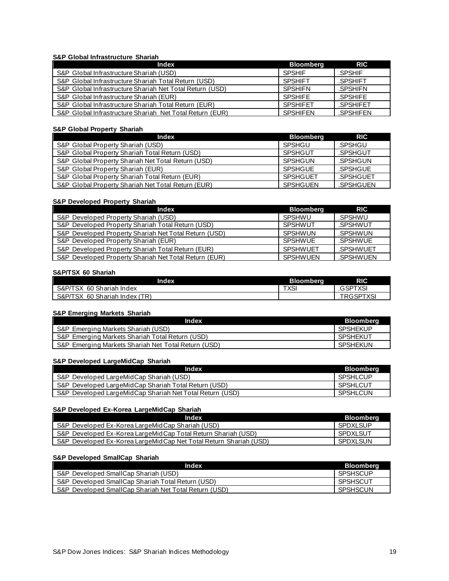#### **S&P Global Infrastructure Shariah**

| Index                                                    | <b>Bloombera</b> | <b>RIC</b> |
|----------------------------------------------------------|------------------|------------|
| S&P Global Infrastructure Shariah (USD)                  | <b>SPSHIF</b>    | .SPSHIF    |
| S&P Global Infrastructure Shariah Total Return (USD)     | <b>SPSHIFT</b>   | .SPSHIFT   |
| S&P Global Infrastructure Shariah Net Total Return (USD) | <b>SPSHIFN</b>   | .SPSHIFN   |
| S&P Global Infrastructure Shariah (EUR)                  | <b>SPSHIFE</b>   | .SPSHIFE   |
| S&P Global Infrastructure Shariah Total Return (EUR)     | <b>SPSHIFET</b>  | .SPSHIFET  |
| S&P Global Infrastructure Shariah Net Total Return (EUR) | <b>SPSHIFFN</b>  | .SPSHIFEN  |

#### **S&P Global Property Shariah**

| Index                                              | <b>Bloomberg</b> | <b>RIC</b> |
|----------------------------------------------------|------------------|------------|
| S&P Global Property Shariah (USD)                  | <b>SPSHGU</b>    | .SPSHGU    |
| S&P Global Property Shariah Total Return (USD)     | <b>SPSHGUT</b>   | .SPSHGUT   |
| S&P Global Property Shariah Net Total Return (USD) | <b>SPSHGUN</b>   | .SPSHGUN   |
| S&P Global Property Shariah (EUR)                  | <b>SPSHGUE</b>   | SPSHGUE.   |
| S&P Global Property Shariah Total Return (EUR)     | <b>SPSHGUET</b>  | .SPSHGUET  |
| S&P Global Property Shariah Net Total Return (EUR) | <b>SPSHGUEN</b>  | .SPSHGUEN  |

#### **S&P Developed Property Shariah**

| <b>Index</b>                                          | <b>Bloomberg</b> | <b>RIC</b> |
|-------------------------------------------------------|------------------|------------|
| S&P Developed Property Shariah (USD)                  | SPSHWU           | .SPSHWU    |
| S&P Developed Property Shariah Total Return (USD)     | SPSHWUT          | .SPSHWUT   |
| S&P Developed Property Shariah Net Total Return (USD) | <b>SPSHWUN</b>   | .SPSHWUN   |
| S&P Developed Property Shariah (EUR)                  | <b>SPSHWUE</b>   | .SPSHWUE   |
| S&P Developed Property Shariah Total Return (EUR)     | <b>SPSHWUET</b>  | .SPSHWUET  |
| S&P Developed Property Shariah Net Total Return (EUR) | <b>SPSHWUEN</b>  | .SPSHWUEN  |

#### **S&P/TSX 60 Shariah**

| Index                                 | <b>Bloomberg</b> | RIC              |
|---------------------------------------|------------------|------------------|
| S&P/TSX<br>Shariah Index<br>60        | TXSI             | .GSPTXSI         |
| 60 Shariah Index (<br>'TR)<br>S&P/TSX |                  | <b>TRGSPTXSI</b> |

### **S&P Emerging Markets Shariah**

| Index                                               | Bloomberg       |
|-----------------------------------------------------|-----------------|
| S&P Emerging Markets Shariah (USD)                  | <b>SPSHEKUP</b> |
| S&P Emerging Markets Shariah Total Return (USD)     | <b>SPSHEKUT</b> |
| S&P Emerging Markets Shariah Net Total Return (USD) | <b>SPSHEKUN</b> |

### **S&P Developed LargeMidCap Shariah**

| Index                                                    | Bloomberg       |
|----------------------------------------------------------|-----------------|
| S&P Developed LargeMidCap Shariah (USD)                  | <b>SPSHLCUP</b> |
| S&P Developed LargeMidCap Shariah Total Return (USD)     | <b>SPSHLCUT</b> |
| S&P Developed LargeMidCap Shariah Net Total Return (USD) | <b>SPSHLCUN</b> |

#### **S&P Developed Ex-Korea LargeMidCap Shariah**

| Index                                                             | Bloomberg       |
|-------------------------------------------------------------------|-----------------|
| S&P Developed Ex-Korea LargeMidCap Shariah (USD)                  | <b>SPDXLSUP</b> |
| S&P Developed Ex-Korea LargeMidCap Total Return Shariah (USD)     | SPDXLSUT        |
| S&P Developed Ex-Korea LargeMidCap Net Total Return Shariah (USD) | <b>SPDXLSUN</b> |

#### **S&P Developed SmallCap Shariah**

| Index                                                 | Bloomberg       |
|-------------------------------------------------------|-----------------|
| S&P Developed SmallCap Shariah (USD)                  | <b>SPSHSCUP</b> |
| S&P Developed SmallCap Shariah Total Return (USD)     | <b>SPSHSCUT</b> |
| S&P Developed SmallCap Shariah Net Total Return (USD) | <b>SPSHSCUN</b> |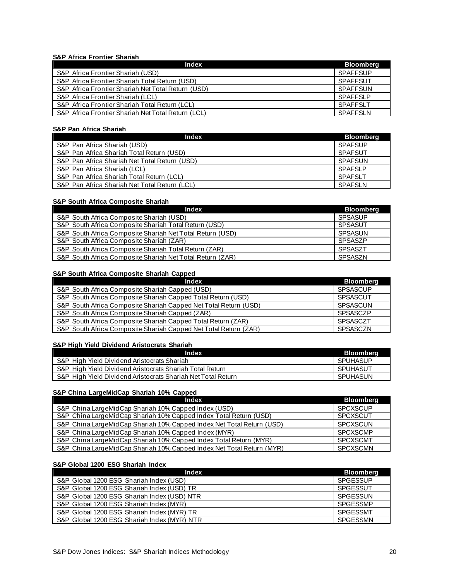#### **S&P Africa Frontier Shariah**

| Index                                              | <b>Bloomberg</b> |
|----------------------------------------------------|------------------|
| S&P Africa Frontier Shariah (USD)                  | <b>SPAFFSUP</b>  |
| S&P Africa Frontier Shariah Total Return (USD)     | <b>SPAFFSUT</b>  |
| S&P Africa Frontier Shariah Net Total Return (USD) | <b>SPAFFSUN</b>  |
| S&P Africa Frontier Shariah (LCL)                  | <b>SPAFFSLP</b>  |
| S&P Africa Frontier Shariah Total Return (LCL)     | <b>SPAFFSLT</b>  |
| S&P Africa Frontier Shariah Net Total Return (LCL) | <b>SPAFFSLN</b>  |

#### **S&P Pan Africa Shariah**

| <b>Index</b>                                  | <b>Bloomberg</b> |
|-----------------------------------------------|------------------|
| S&P Pan Africa Shariah (USD)                  | <b>SPAFSUP</b>   |
| S&P Pan Africa Shariah Total Return (USD)     | <b>SPAFSUT</b>   |
| S&P Pan Africa Shariah Net Total Return (USD) | <b>SPAFSUN</b>   |
| S&P Pan Africa Shariah (LCL)                  | <b>SPAFSLP</b>   |
| S&P Pan Africa Shariah Total Return (LCL)     | <b>SPAFSLT</b>   |
| S&P Pan Africa Shariah Net Total Return (LCL) | <b>SPAFSLN</b>   |

#### **S&P South Africa Composite Shariah**

| Index                                                     | <b>Bloomberg</b> |
|-----------------------------------------------------------|------------------|
| S&P South Africa Composite Shariah (USD)                  | <b>SPSASUP</b>   |
| S&P South Africa Composite Shariah Total Return (USD)     | <b>SPSASUT</b>   |
| S&P South Africa Composite Shariah Net Total Return (USD) | <b>SPSASUN</b>   |
| S&P South Africa Composite Shariah (ZAR)                  | SPSASZP          |
| S&P South Africa Composite Shariah Total Return (ZAR)     | <b>SPSASZT</b>   |
| S&P South Africa Composite Shariah Net Total Return (ZAR) | <b>SPSASZN</b>   |

#### **S&P South Africa Composite Shariah Capped**

| <b>Index</b>                                                     | <b>Bloomberg</b> |
|------------------------------------------------------------------|------------------|
| S&P South Africa Composite Shariah Capped (USD)                  | <b>SPSASCUP</b>  |
| S&P South Africa Composite Shariah Capped Total Return (USD)     | <b>SPSASCUT</b>  |
| S&P South Africa Composite Shariah Capped Net Total Return (USD) | <b>SPSASCUN</b>  |
| S&P South Africa Composite Shariah Capped (ZAR)                  | <b>SPSASCZP</b>  |
| S&P South Africa Composite Shariah Capped Total Return (ZAR)     | <b>SPSASCZT</b>  |
| S&P South Africa Composite Shariah Capped Net Total Return (ZAR) | SPSASCZN         |

#### **S&P High Yield Dividend Aristocrats Shariah**

| Index                                                        | Bloomberg |
|--------------------------------------------------------------|-----------|
| S&P High Yield Dividend Aristocrats Shariah                  | SPUHASUP  |
| S&P High Yield Dividend Aristocrats Shariah Total Return     | SPUHASUT  |
| S&P High Yield Dividend Aristocrats Shariah Net Total Return | SPUHASUN  |

#### **S&P China LargeMidCap Shariah 10% Capped**

| Index                                                                 | <b>Bloomberg</b> |
|-----------------------------------------------------------------------|------------------|
| S&P China LargeMidCap Shariah 10% Capped Index (USD)                  | <b>SPCXSCUP</b>  |
| S&P China LargeMidCap Shariah 10% Capped Index Total Return (USD)     | <b>SPCXSCUT</b>  |
| S&P China LargeMidCap Shariah 10% Capped Index Net Total Return (USD) | <b>SPCXSCUN</b>  |
| S&P China LargeMidCap Shariah 10% Capped Index (MYR)                  | <b>SPCXSCMP</b>  |
| S&P China LargeMidCap Shariah 10% Capped Index Total Return (MYR)     | <b>SPCXSCMT</b>  |
| S&P China LargeMidCap Shariah 10% Capped Index Net Total Return (MYR) | <b>SPCXSCMN</b>  |

#### **S&P Global 1200 ESG Shariah Index**

| <b>Index</b>                                | <b>Bloomberg</b> |
|---------------------------------------------|------------------|
| S&P Global 1200 ESG Shariah Index (USD)     | <b>SPGESSUP</b>  |
| S&P Global 1200 ESG Shariah Index (USD) TR  | SPGESSUT         |
| S&P Global 1200 ESG Shariah Index (USD) NTR | SPGESSUN         |
| S&P Global 1200 ESG Shariah Index (MYR)     | <b>SPGESSMP</b>  |
| S&P Global 1200 ESG Shariah Index (MYR) TR  | SPGESSMT         |
| S&P Global 1200 ESG Shariah Index (MYR) NTR | <b>SPGESSMN</b>  |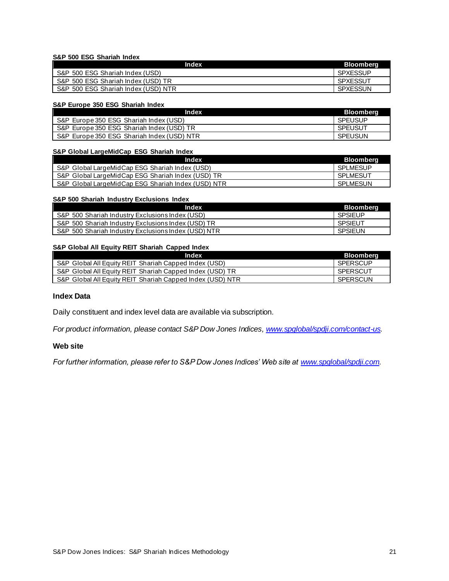#### **S&P 500 ESG Shariah Index**

| Index                               | <b>Bloomberg</b> |
|-------------------------------------|------------------|
| S&P 500 ESG Shariah Index (USD)     | <b>SPXESSUP</b>  |
| S&P 500 ESG Shariah Index (USD) TR  | SPXESSUT         |
| S&P 500 ESG Shariah Index (USD) NTR | <b>SPXESSUN</b>  |

#### **S&P Europe 350 ESG Shariah Index**

| Index                                      | <b>Bloomberg</b> |
|--------------------------------------------|------------------|
| S&P Europe 350 ESG Shariah Index (USD)     | <b>SPEUSUP</b>   |
| S&P Europe 350 ESG Shariah Index (USD) TR  | <b>SPEUSUT</b>   |
| S&P Europe 350 ESG Shariah Index (USD) NTR | <b>SPEUSUN</b>   |

#### **S&P Global LargeMidCap ESG Shariah Index**

| Index                                              | Bloomberg       |
|----------------------------------------------------|-----------------|
| S&P Global LargeMidCap ESG Shariah Index (USD)     | <b>SPLMESUP</b> |
| S&P Global LargeMidCap ESG Shariah Index (USD) TR  | SPLMESUT        |
| S&P Global LargeMidCap ESG Shariah Index (USD) NTR | <b>SPLMESUN</b> |

#### **S&P 500 Shariah Industry Exclusions Index**

| Index                                               | Bloomberg      |
|-----------------------------------------------------|----------------|
| S&P 500 Shariah Industry Exclusions Index (USD)     | <b>SPSIEUP</b> |
| S&P 500 Shariah Industry Exclusions Index (USD) TR  | <b>SPSIEUT</b> |
| S&P 500 Shariah Industry Exclusions Index (USD) NTR | <b>SPSIEUN</b> |

#### **S&P Global All Equity REIT Shariah Capped Index**

| Index                                                      | Bloomberg       |
|------------------------------------------------------------|-----------------|
| S&P Global All Equity REIT Shariah Capped Index (USD)      | <b>SPERSCUP</b> |
| . S&P Global All Equity REIT Shariah Capped Index (USD) TR | <b>SPERSCUT</b> |
| S&P Global All Equity REIT Shariah Capped Index (USD) NTR  | <b>SPERSCUN</b> |

#### <span id="page-21-0"></span>**Index Data**

Daily constituent and index level data are available via subscription.

*For product information, please contact S&P Dow Jones Indices[, www.spglobal/spdji.com/contact-us](http://www.spdji.com/contact-us).* 

#### <span id="page-21-1"></span>**Web site**

*For further information, please refer to S&P Dow Jones Indices' Web site a[t www.spglobal/spdji.com](http://www.spdji.com/).*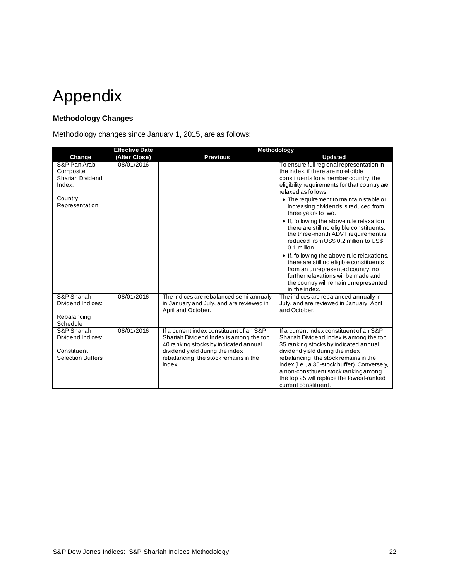## <span id="page-22-0"></span>Appendix

## <span id="page-22-1"></span>**Methodology Changes**

Methodology changes since January 1, 2015, are as follows:

|                                                                                      | <b>Effective Date</b> | Methodology                                                                                                                                                                                                        |                                                                                                                                                                                                                                                                                                                                                                                                                                                                                                                                                                                                                                                                                                                                          |
|--------------------------------------------------------------------------------------|-----------------------|--------------------------------------------------------------------------------------------------------------------------------------------------------------------------------------------------------------------|------------------------------------------------------------------------------------------------------------------------------------------------------------------------------------------------------------------------------------------------------------------------------------------------------------------------------------------------------------------------------------------------------------------------------------------------------------------------------------------------------------------------------------------------------------------------------------------------------------------------------------------------------------------------------------------------------------------------------------------|
| Change                                                                               | (After Close)         | <b>Previous</b>                                                                                                                                                                                                    | <b>Updated</b>                                                                                                                                                                                                                                                                                                                                                                                                                                                                                                                                                                                                                                                                                                                           |
| S&P Pan Arab<br>Composite<br>Shariah Dividend<br>Index:<br>Country<br>Representation | 08/01/2016            |                                                                                                                                                                                                                    | To ensure full regional representation in<br>the index, if there are no eligible<br>constituents for a member country, the<br>eligibility requirements for that country are<br>relaxed as follows:<br>• The requirement to maintain stable or<br>increasing dividends is reduced from<br>three years to two.<br>• If, following the above rule relaxation<br>there are still no eligible constituents,<br>the three-month ADVT requirement is<br>reduced from US\$ 0.2 million to US\$<br>0.1 million.<br>• If, following the above rule relaxations,<br>there are still no eligible constituents<br>from an unrepresented country, no<br>further relaxations will be made and<br>the country will remain unrepresented<br>in the index. |
| S&P Shariah<br>Dividend Indices:<br>Rebalancing<br>Schedule                          | 08/01/2016            | The indices are rebalanced semi-annually<br>in January and July, and are reviewed in<br>April and October.                                                                                                         | The indices are rebalanced annually in<br>July, and are reviewed in January, April<br>and October.                                                                                                                                                                                                                                                                                                                                                                                                                                                                                                                                                                                                                                       |
| S&P Shariah<br>Dividend Indices:<br>Constituent<br><b>Selection Buffers</b>          | 08/01/2016            | If a current index constituent of an S&P<br>Shariah Dividend Index is among the top<br>40 ranking stocks by indicated annual<br>dividend yield during the index<br>rebalancing, the stock remains in the<br>index. | If a current index constituent of an S&P<br>Shariah Dividend Index is among the top<br>35 ranking stocks by indicated annual<br>dividend yield during the index<br>rebalancing, the stock remains in the<br>index (i.e., a 35-stock buffer). Conversely,<br>a non-constituent stock ranking among<br>the top 25 will replace the lowest-ranked<br>current constituent.                                                                                                                                                                                                                                                                                                                                                                   |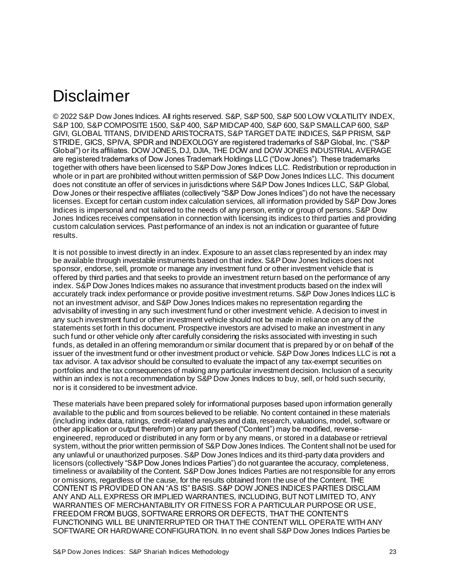## <span id="page-23-0"></span>Disclaimer

© 2022 S&P Dow Jones Indices. All rights reserved. S&P, S&P 500, S&P 500 LOW VOLATILITY INDEX, S&P 100, S&P COMPOSITE 1500, S&P 400, S&P MIDCAP 400, S&P 600, S&P SMALLCAP 600, S&P GIVI, GLOBAL TITANS, DIVIDEND ARISTOCRATS, S&P TARGET DATE INDICES, S&P PRISM, S&P STRIDE, GICS, SPIVA, SPDR and INDEXOLOGY are registered trademarks of S&P Global, Inc. ("S&P Global") or its affiliates. DOW JONES, DJ, DJIA, THE DOW and DOW JONES INDUSTRIAL AVERAGE are registered trademarks of Dow Jones Trademark Holdings LLC ("Dow Jones"). These trademarks together with others have been licensed to S&P Dow Jones Indices LLC. Redistribution or reproduction in whole or in part are prohibited without written permission of S&P Dow Jones Indices LLC. This document does not constitute an offer of services in jurisdictions where S&P Dow Jones Indices LLC, S&P Global, Dow Jones or their respective affiliates (collectively "S&P Dow Jones Indices") do not have the necessary licenses. Except for certain custom index calculation services, all information provided by S&P Dow Jones Indices is impersonal and not tailored to the needs of any person, entity or group of persons. S&P Dow Jones Indices receives compensation in connection with licensing its indices to third parties and providing custom calculation services. Past performance of an index is not an indication or guarantee of future results.

It is not possible to invest directly in an index. Exposure to an asset class represented by an index may be available through investable instruments based on that index. S&P Dow Jones Indices does not sponsor, endorse, sell, promote or manage any investment fund or other investment vehicle that is offered by third parties and that seeks to provide an investment return based on the performance of any index. S&P Dow Jones Indices makes no assurance that investment products based on the index will accurately track index performance or provide positive investment returns. S&P Dow Jones Indices LLC is not an investment advisor, and S&P Dow Jones Indices makes no representation regarding the advisability of investing in any such investment fund or other investment vehicle. A decision to invest in any such investment fund or other investment vehicle should not be made in reliance on any of the statements set forth in this document. Prospective investors are advised to make an investment in any such fund or other vehicle only after carefully considering the risks associated with investing in such funds, as detailed in an offering memorandum or similar document that is prepared by or on behalf of the issuer of the investment fund or other investment product or vehicle. S&P Dow Jones Indices LLC is not a tax advisor. A tax advisor should be consulted to evaluate the impact of any tax-exempt securities on portfolios and the tax consequences of making any particular investment decision. Inclusion of a security within an index is not a recommendation by S&P Dow Jones Indices to buy, sell, or hold such security, nor is it considered to be investment advice.

These materials have been prepared solely for informational purposes based upon information generally available to the public and from sources believed to be reliable. No content contained in these materials (including index data, ratings, credit-related analyses and data, research, valuations, model, software or other application or output therefrom) or any part thereof ("Content") may be modified, reverseengineered, reproduced or distributed in any form or by any means, or stored in a database or retrieval system, without the prior written permission of S&P Dow Jones Indices. The Content shall not be used for any unlawful or unauthorized purposes. S&P Dow Jones Indices and its third-party data providers and licensors (collectively "S&P Dow Jones Indices Parties") do not guarantee the accuracy, completeness, timeliness or availability of the Content. S&P Dow Jones Indices Parties are not responsible for any errors or omissions, regardless of the cause, for the results obtained from the use of the Content. THE CONTENT IS PROVIDED ON AN "AS IS" BASIS. S&P DOW JONES INDICES PARTIES DISCLAIM ANY AND ALL EXPRESS OR IMPLIED WARRANTIES, INCLUDING, BUT NOT LIMITED TO, ANY WARRANTIES OF MERCHANTABILITY OR FITNESS FOR A PARTICULAR PURPOSE OR USE, FREEDOM FROM BUGS, SOFTWARE ERRORS OR DEFECTS, THAT THE CONTENT'S FUNCTIONING WILL BE UNINTERRUPTED OR THAT THE CONTENT WILL OPERATE WITH ANY SOFTWARE OR HARDWARE CONFIGURATION. In no event shall S&P Dow Jones Indices Parties be